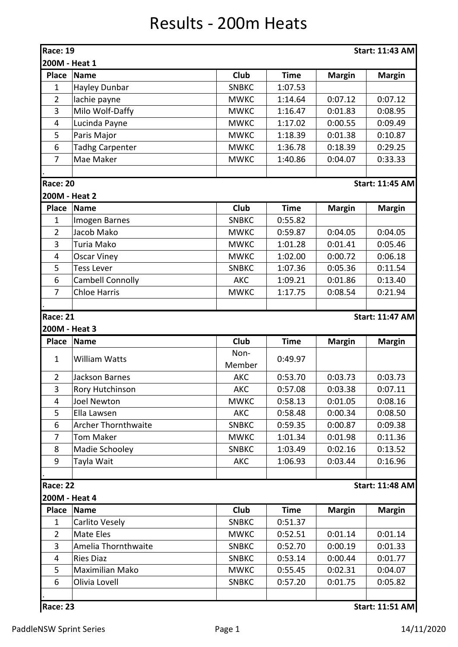## Results - 200m Heats

| Club<br><b>Name</b><br><b>Time</b><br><b>Margin</b><br><b>Place</b><br><b>Margin</b><br>Hayley Dunbar<br><b>SNBKC</b><br>1:07.53<br>$\mathbf{1}$<br>$\overline{2}$<br>lachie payne<br>0:07.12<br>0:07.12<br><b>MWKC</b><br>1:14.64<br>3<br>Milo Wolf-Daffy<br><b>MWKC</b><br>1:16.47<br>0:01.83<br>0:08.95<br>1:17.02<br>4<br>Lucinda Payne<br><b>MWKC</b><br>0:00.55<br>0:09.49<br>5<br>Paris Major<br><b>MWKC</b><br>1:18.39<br>0:01.38<br>0:10.87<br>6<br><b>Tadhg Carpenter</b><br>0:29.25<br><b>MWKC</b><br>1:36.78<br>0:18.39<br>$\overline{7}$<br>Mae Maker<br><b>MWKC</b><br>1:40.86<br>0:04.07<br>0:33.33<br><b>Race: 20</b><br><b>Start: 11:45 AM</b><br>200M - Heat 2<br>Club<br><b>Time</b><br><b>Place</b><br><b>Name</b><br><b>Margin</b><br><b>Margin</b><br>0:55.82<br>$\mathbf{1}$<br>Imogen Barnes<br><b>SNBKC</b><br>Jacob Mako<br>$\overline{2}$<br>0:04.05<br><b>MWKC</b><br>0:59.87<br>0:04.05<br>3<br>1:01.28<br>Turia Mako<br><b>MWKC</b><br>0:01.41<br>0:05.46<br><b>MWKC</b><br>1:02.00<br>0:00.72<br>0:06.18<br>4<br><b>Oscar Viney</b><br>5<br><b>Tess Lever</b><br><b>SNBKC</b><br>1:07.36<br>0:05.36<br>0:11.54<br>6<br><b>Cambell Connolly</b><br><b>AKC</b><br>0:13.40<br>1:09.21<br>0:01.86<br><b>Chloe Harris</b><br>$\overline{7}$<br><b>MWKC</b><br>1:17.75<br>0:08.54<br>0:21.94<br><b>Race: 21</b><br><b>Start: 11:47 AM</b><br>200M - Heat 3<br>Club<br><b>Place</b><br><b>Time</b><br><b>Margin</b><br><b>Margin</b><br><b>Name</b><br>Non-<br>$\mathbf{1}$<br><b>William Watts</b><br>0:49.97<br>Member<br>$\overline{2}$<br>0:53.70<br>0:03.73<br>0:03.73<br>Jackson Barnes<br><b>AKC</b><br>3<br>Rory Hutchinson<br><b>AKC</b><br>0:57.08<br>0:03.38<br>0:07.11<br>0:01.05<br><b>Joel Newton</b><br><b>MWKC</b><br>0:58.13<br>0:08.16<br>4<br>5<br><b>AKC</b><br>0:58.48<br>0:00.34<br>0:08.50<br>Ella Lawsen<br>6<br><b>Archer Thornthwaite</b><br><b>SNBKC</b><br>0:59.35<br>0:00.87<br>0:09.38<br>$\overline{7}$<br><b>Tom Maker</b><br><b>MWKC</b><br>1:01.34<br>0:01.98<br>0:11.36<br>8<br>Madie Schooley<br><b>SNBKC</b><br>1:03.49<br>0:02.16<br>0:13.52<br>9<br>Tayla Wait<br><b>AKC</b><br>1:06.93<br>0:03.44<br>0:16.96<br><b>Race: 22</b><br><b>Start: 11:48 AM</b><br>200M - Heat 4<br>Club<br><b>Place</b><br><b>Name</b><br><b>Time</b><br><b>Margin</b><br><b>Margin</b><br>Carlito Vesely<br><b>SNBKC</b><br>0:51.37<br>1<br>$\overline{2}$<br>Mate Eles<br><b>MWKC</b><br>0:01.14<br>0:01.14<br>0:52.51<br>3<br>Amelia Thornthwaite<br>0:52.70<br>0:00.19<br><b>SNBKC</b><br>0:01.33<br><b>Ries Diaz</b><br><b>SNBKC</b><br>0:53.14<br>0:00.44<br>0:01.77<br>4<br>5<br>Maximilian Mako<br><b>MWKC</b><br>0:55.45<br>0:02.31<br>0:04.07<br>6<br>Olivia Lovell<br><b>SNBKC</b><br>0:57.20<br>0:01.75<br>0:05.82<br><b>Race: 23</b><br><b>Start: 11:51 AM</b> | <b>Race: 19</b><br>200M - Heat 1 |  |  | <b>Start: 11:43 AM</b> |
|------------------------------------------------------------------------------------------------------------------------------------------------------------------------------------------------------------------------------------------------------------------------------------------------------------------------------------------------------------------------------------------------------------------------------------------------------------------------------------------------------------------------------------------------------------------------------------------------------------------------------------------------------------------------------------------------------------------------------------------------------------------------------------------------------------------------------------------------------------------------------------------------------------------------------------------------------------------------------------------------------------------------------------------------------------------------------------------------------------------------------------------------------------------------------------------------------------------------------------------------------------------------------------------------------------------------------------------------------------------------------------------------------------------------------------------------------------------------------------------------------------------------------------------------------------------------------------------------------------------------------------------------------------------------------------------------------------------------------------------------------------------------------------------------------------------------------------------------------------------------------------------------------------------------------------------------------------------------------------------------------------------------------------------------------------------------------------------------------------------------------------------------------------------------------------------------------------------------------------------------------------------------------------------------------------------------------------------------------------------------------------------------------------------------------------------------------------------------------------------------------------------------------------------------------------------------------------------------------------------------------------------------------------------------------------------------------------------------------------------------------------------------------------------------------------------------|----------------------------------|--|--|------------------------|
|                                                                                                                                                                                                                                                                                                                                                                                                                                                                                                                                                                                                                                                                                                                                                                                                                                                                                                                                                                                                                                                                                                                                                                                                                                                                                                                                                                                                                                                                                                                                                                                                                                                                                                                                                                                                                                                                                                                                                                                                                                                                                                                                                                                                                                                                                                                                                                                                                                                                                                                                                                                                                                                                                                                                                                                                                        |                                  |  |  |                        |
|                                                                                                                                                                                                                                                                                                                                                                                                                                                                                                                                                                                                                                                                                                                                                                                                                                                                                                                                                                                                                                                                                                                                                                                                                                                                                                                                                                                                                                                                                                                                                                                                                                                                                                                                                                                                                                                                                                                                                                                                                                                                                                                                                                                                                                                                                                                                                                                                                                                                                                                                                                                                                                                                                                                                                                                                                        |                                  |  |  |                        |
|                                                                                                                                                                                                                                                                                                                                                                                                                                                                                                                                                                                                                                                                                                                                                                                                                                                                                                                                                                                                                                                                                                                                                                                                                                                                                                                                                                                                                                                                                                                                                                                                                                                                                                                                                                                                                                                                                                                                                                                                                                                                                                                                                                                                                                                                                                                                                                                                                                                                                                                                                                                                                                                                                                                                                                                                                        |                                  |  |  |                        |
|                                                                                                                                                                                                                                                                                                                                                                                                                                                                                                                                                                                                                                                                                                                                                                                                                                                                                                                                                                                                                                                                                                                                                                                                                                                                                                                                                                                                                                                                                                                                                                                                                                                                                                                                                                                                                                                                                                                                                                                                                                                                                                                                                                                                                                                                                                                                                                                                                                                                                                                                                                                                                                                                                                                                                                                                                        |                                  |  |  |                        |
|                                                                                                                                                                                                                                                                                                                                                                                                                                                                                                                                                                                                                                                                                                                                                                                                                                                                                                                                                                                                                                                                                                                                                                                                                                                                                                                                                                                                                                                                                                                                                                                                                                                                                                                                                                                                                                                                                                                                                                                                                                                                                                                                                                                                                                                                                                                                                                                                                                                                                                                                                                                                                                                                                                                                                                                                                        |                                  |  |  |                        |
|                                                                                                                                                                                                                                                                                                                                                                                                                                                                                                                                                                                                                                                                                                                                                                                                                                                                                                                                                                                                                                                                                                                                                                                                                                                                                                                                                                                                                                                                                                                                                                                                                                                                                                                                                                                                                                                                                                                                                                                                                                                                                                                                                                                                                                                                                                                                                                                                                                                                                                                                                                                                                                                                                                                                                                                                                        |                                  |  |  |                        |
|                                                                                                                                                                                                                                                                                                                                                                                                                                                                                                                                                                                                                                                                                                                                                                                                                                                                                                                                                                                                                                                                                                                                                                                                                                                                                                                                                                                                                                                                                                                                                                                                                                                                                                                                                                                                                                                                                                                                                                                                                                                                                                                                                                                                                                                                                                                                                                                                                                                                                                                                                                                                                                                                                                                                                                                                                        |                                  |  |  |                        |
|                                                                                                                                                                                                                                                                                                                                                                                                                                                                                                                                                                                                                                                                                                                                                                                                                                                                                                                                                                                                                                                                                                                                                                                                                                                                                                                                                                                                                                                                                                                                                                                                                                                                                                                                                                                                                                                                                                                                                                                                                                                                                                                                                                                                                                                                                                                                                                                                                                                                                                                                                                                                                                                                                                                                                                                                                        |                                  |  |  |                        |
|                                                                                                                                                                                                                                                                                                                                                                                                                                                                                                                                                                                                                                                                                                                                                                                                                                                                                                                                                                                                                                                                                                                                                                                                                                                                                                                                                                                                                                                                                                                                                                                                                                                                                                                                                                                                                                                                                                                                                                                                                                                                                                                                                                                                                                                                                                                                                                                                                                                                                                                                                                                                                                                                                                                                                                                                                        |                                  |  |  |                        |
|                                                                                                                                                                                                                                                                                                                                                                                                                                                                                                                                                                                                                                                                                                                                                                                                                                                                                                                                                                                                                                                                                                                                                                                                                                                                                                                                                                                                                                                                                                                                                                                                                                                                                                                                                                                                                                                                                                                                                                                                                                                                                                                                                                                                                                                                                                                                                                                                                                                                                                                                                                                                                                                                                                                                                                                                                        |                                  |  |  |                        |
|                                                                                                                                                                                                                                                                                                                                                                                                                                                                                                                                                                                                                                                                                                                                                                                                                                                                                                                                                                                                                                                                                                                                                                                                                                                                                                                                                                                                                                                                                                                                                                                                                                                                                                                                                                                                                                                                                                                                                                                                                                                                                                                                                                                                                                                                                                                                                                                                                                                                                                                                                                                                                                                                                                                                                                                                                        |                                  |  |  |                        |
|                                                                                                                                                                                                                                                                                                                                                                                                                                                                                                                                                                                                                                                                                                                                                                                                                                                                                                                                                                                                                                                                                                                                                                                                                                                                                                                                                                                                                                                                                                                                                                                                                                                                                                                                                                                                                                                                                                                                                                                                                                                                                                                                                                                                                                                                                                                                                                                                                                                                                                                                                                                                                                                                                                                                                                                                                        |                                  |  |  |                        |
|                                                                                                                                                                                                                                                                                                                                                                                                                                                                                                                                                                                                                                                                                                                                                                                                                                                                                                                                                                                                                                                                                                                                                                                                                                                                                                                                                                                                                                                                                                                                                                                                                                                                                                                                                                                                                                                                                                                                                                                                                                                                                                                                                                                                                                                                                                                                                                                                                                                                                                                                                                                                                                                                                                                                                                                                                        |                                  |  |  |                        |
|                                                                                                                                                                                                                                                                                                                                                                                                                                                                                                                                                                                                                                                                                                                                                                                                                                                                                                                                                                                                                                                                                                                                                                                                                                                                                                                                                                                                                                                                                                                                                                                                                                                                                                                                                                                                                                                                                                                                                                                                                                                                                                                                                                                                                                                                                                                                                                                                                                                                                                                                                                                                                                                                                                                                                                                                                        |                                  |  |  |                        |
|                                                                                                                                                                                                                                                                                                                                                                                                                                                                                                                                                                                                                                                                                                                                                                                                                                                                                                                                                                                                                                                                                                                                                                                                                                                                                                                                                                                                                                                                                                                                                                                                                                                                                                                                                                                                                                                                                                                                                                                                                                                                                                                                                                                                                                                                                                                                                                                                                                                                                                                                                                                                                                                                                                                                                                                                                        |                                  |  |  |                        |
|                                                                                                                                                                                                                                                                                                                                                                                                                                                                                                                                                                                                                                                                                                                                                                                                                                                                                                                                                                                                                                                                                                                                                                                                                                                                                                                                                                                                                                                                                                                                                                                                                                                                                                                                                                                                                                                                                                                                                                                                                                                                                                                                                                                                                                                                                                                                                                                                                                                                                                                                                                                                                                                                                                                                                                                                                        |                                  |  |  |                        |
|                                                                                                                                                                                                                                                                                                                                                                                                                                                                                                                                                                                                                                                                                                                                                                                                                                                                                                                                                                                                                                                                                                                                                                                                                                                                                                                                                                                                                                                                                                                                                                                                                                                                                                                                                                                                                                                                                                                                                                                                                                                                                                                                                                                                                                                                                                                                                                                                                                                                                                                                                                                                                                                                                                                                                                                                                        |                                  |  |  |                        |
|                                                                                                                                                                                                                                                                                                                                                                                                                                                                                                                                                                                                                                                                                                                                                                                                                                                                                                                                                                                                                                                                                                                                                                                                                                                                                                                                                                                                                                                                                                                                                                                                                                                                                                                                                                                                                                                                                                                                                                                                                                                                                                                                                                                                                                                                                                                                                                                                                                                                                                                                                                                                                                                                                                                                                                                                                        |                                  |  |  |                        |
|                                                                                                                                                                                                                                                                                                                                                                                                                                                                                                                                                                                                                                                                                                                                                                                                                                                                                                                                                                                                                                                                                                                                                                                                                                                                                                                                                                                                                                                                                                                                                                                                                                                                                                                                                                                                                                                                                                                                                                                                                                                                                                                                                                                                                                                                                                                                                                                                                                                                                                                                                                                                                                                                                                                                                                                                                        |                                  |  |  |                        |
|                                                                                                                                                                                                                                                                                                                                                                                                                                                                                                                                                                                                                                                                                                                                                                                                                                                                                                                                                                                                                                                                                                                                                                                                                                                                                                                                                                                                                                                                                                                                                                                                                                                                                                                                                                                                                                                                                                                                                                                                                                                                                                                                                                                                                                                                                                                                                                                                                                                                                                                                                                                                                                                                                                                                                                                                                        |                                  |  |  |                        |
|                                                                                                                                                                                                                                                                                                                                                                                                                                                                                                                                                                                                                                                                                                                                                                                                                                                                                                                                                                                                                                                                                                                                                                                                                                                                                                                                                                                                                                                                                                                                                                                                                                                                                                                                                                                                                                                                                                                                                                                                                                                                                                                                                                                                                                                                                                                                                                                                                                                                                                                                                                                                                                                                                                                                                                                                                        |                                  |  |  |                        |
|                                                                                                                                                                                                                                                                                                                                                                                                                                                                                                                                                                                                                                                                                                                                                                                                                                                                                                                                                                                                                                                                                                                                                                                                                                                                                                                                                                                                                                                                                                                                                                                                                                                                                                                                                                                                                                                                                                                                                                                                                                                                                                                                                                                                                                                                                                                                                                                                                                                                                                                                                                                                                                                                                                                                                                                                                        |                                  |  |  |                        |
|                                                                                                                                                                                                                                                                                                                                                                                                                                                                                                                                                                                                                                                                                                                                                                                                                                                                                                                                                                                                                                                                                                                                                                                                                                                                                                                                                                                                                                                                                                                                                                                                                                                                                                                                                                                                                                                                                                                                                                                                                                                                                                                                                                                                                                                                                                                                                                                                                                                                                                                                                                                                                                                                                                                                                                                                                        |                                  |  |  |                        |
|                                                                                                                                                                                                                                                                                                                                                                                                                                                                                                                                                                                                                                                                                                                                                                                                                                                                                                                                                                                                                                                                                                                                                                                                                                                                                                                                                                                                                                                                                                                                                                                                                                                                                                                                                                                                                                                                                                                                                                                                                                                                                                                                                                                                                                                                                                                                                                                                                                                                                                                                                                                                                                                                                                                                                                                                                        |                                  |  |  |                        |
|                                                                                                                                                                                                                                                                                                                                                                                                                                                                                                                                                                                                                                                                                                                                                                                                                                                                                                                                                                                                                                                                                                                                                                                                                                                                                                                                                                                                                                                                                                                                                                                                                                                                                                                                                                                                                                                                                                                                                                                                                                                                                                                                                                                                                                                                                                                                                                                                                                                                                                                                                                                                                                                                                                                                                                                                                        |                                  |  |  |                        |
|                                                                                                                                                                                                                                                                                                                                                                                                                                                                                                                                                                                                                                                                                                                                                                                                                                                                                                                                                                                                                                                                                                                                                                                                                                                                                                                                                                                                                                                                                                                                                                                                                                                                                                                                                                                                                                                                                                                                                                                                                                                                                                                                                                                                                                                                                                                                                                                                                                                                                                                                                                                                                                                                                                                                                                                                                        |                                  |  |  |                        |
|                                                                                                                                                                                                                                                                                                                                                                                                                                                                                                                                                                                                                                                                                                                                                                                                                                                                                                                                                                                                                                                                                                                                                                                                                                                                                                                                                                                                                                                                                                                                                                                                                                                                                                                                                                                                                                                                                                                                                                                                                                                                                                                                                                                                                                                                                                                                                                                                                                                                                                                                                                                                                                                                                                                                                                                                                        |                                  |  |  |                        |
|                                                                                                                                                                                                                                                                                                                                                                                                                                                                                                                                                                                                                                                                                                                                                                                                                                                                                                                                                                                                                                                                                                                                                                                                                                                                                                                                                                                                                                                                                                                                                                                                                                                                                                                                                                                                                                                                                                                                                                                                                                                                                                                                                                                                                                                                                                                                                                                                                                                                                                                                                                                                                                                                                                                                                                                                                        |                                  |  |  |                        |
|                                                                                                                                                                                                                                                                                                                                                                                                                                                                                                                                                                                                                                                                                                                                                                                                                                                                                                                                                                                                                                                                                                                                                                                                                                                                                                                                                                                                                                                                                                                                                                                                                                                                                                                                                                                                                                                                                                                                                                                                                                                                                                                                                                                                                                                                                                                                                                                                                                                                                                                                                                                                                                                                                                                                                                                                                        |                                  |  |  |                        |
|                                                                                                                                                                                                                                                                                                                                                                                                                                                                                                                                                                                                                                                                                                                                                                                                                                                                                                                                                                                                                                                                                                                                                                                                                                                                                                                                                                                                                                                                                                                                                                                                                                                                                                                                                                                                                                                                                                                                                                                                                                                                                                                                                                                                                                                                                                                                                                                                                                                                                                                                                                                                                                                                                                                                                                                                                        |                                  |  |  |                        |
|                                                                                                                                                                                                                                                                                                                                                                                                                                                                                                                                                                                                                                                                                                                                                                                                                                                                                                                                                                                                                                                                                                                                                                                                                                                                                                                                                                                                                                                                                                                                                                                                                                                                                                                                                                                                                                                                                                                                                                                                                                                                                                                                                                                                                                                                                                                                                                                                                                                                                                                                                                                                                                                                                                                                                                                                                        |                                  |  |  |                        |
|                                                                                                                                                                                                                                                                                                                                                                                                                                                                                                                                                                                                                                                                                                                                                                                                                                                                                                                                                                                                                                                                                                                                                                                                                                                                                                                                                                                                                                                                                                                                                                                                                                                                                                                                                                                                                                                                                                                                                                                                                                                                                                                                                                                                                                                                                                                                                                                                                                                                                                                                                                                                                                                                                                                                                                                                                        |                                  |  |  |                        |
|                                                                                                                                                                                                                                                                                                                                                                                                                                                                                                                                                                                                                                                                                                                                                                                                                                                                                                                                                                                                                                                                                                                                                                                                                                                                                                                                                                                                                                                                                                                                                                                                                                                                                                                                                                                                                                                                                                                                                                                                                                                                                                                                                                                                                                                                                                                                                                                                                                                                                                                                                                                                                                                                                                                                                                                                                        |                                  |  |  |                        |
|                                                                                                                                                                                                                                                                                                                                                                                                                                                                                                                                                                                                                                                                                                                                                                                                                                                                                                                                                                                                                                                                                                                                                                                                                                                                                                                                                                                                                                                                                                                                                                                                                                                                                                                                                                                                                                                                                                                                                                                                                                                                                                                                                                                                                                                                                                                                                                                                                                                                                                                                                                                                                                                                                                                                                                                                                        |                                  |  |  |                        |
|                                                                                                                                                                                                                                                                                                                                                                                                                                                                                                                                                                                                                                                                                                                                                                                                                                                                                                                                                                                                                                                                                                                                                                                                                                                                                                                                                                                                                                                                                                                                                                                                                                                                                                                                                                                                                                                                                                                                                                                                                                                                                                                                                                                                                                                                                                                                                                                                                                                                                                                                                                                                                                                                                                                                                                                                                        |                                  |  |  |                        |
|                                                                                                                                                                                                                                                                                                                                                                                                                                                                                                                                                                                                                                                                                                                                                                                                                                                                                                                                                                                                                                                                                                                                                                                                                                                                                                                                                                                                                                                                                                                                                                                                                                                                                                                                                                                                                                                                                                                                                                                                                                                                                                                                                                                                                                                                                                                                                                                                                                                                                                                                                                                                                                                                                                                                                                                                                        |                                  |  |  |                        |
|                                                                                                                                                                                                                                                                                                                                                                                                                                                                                                                                                                                                                                                                                                                                                                                                                                                                                                                                                                                                                                                                                                                                                                                                                                                                                                                                                                                                                                                                                                                                                                                                                                                                                                                                                                                                                                                                                                                                                                                                                                                                                                                                                                                                                                                                                                                                                                                                                                                                                                                                                                                                                                                                                                                                                                                                                        |                                  |  |  |                        |
|                                                                                                                                                                                                                                                                                                                                                                                                                                                                                                                                                                                                                                                                                                                                                                                                                                                                                                                                                                                                                                                                                                                                                                                                                                                                                                                                                                                                                                                                                                                                                                                                                                                                                                                                                                                                                                                                                                                                                                                                                                                                                                                                                                                                                                                                                                                                                                                                                                                                                                                                                                                                                                                                                                                                                                                                                        |                                  |  |  |                        |
|                                                                                                                                                                                                                                                                                                                                                                                                                                                                                                                                                                                                                                                                                                                                                                                                                                                                                                                                                                                                                                                                                                                                                                                                                                                                                                                                                                                                                                                                                                                                                                                                                                                                                                                                                                                                                                                                                                                                                                                                                                                                                                                                                                                                                                                                                                                                                                                                                                                                                                                                                                                                                                                                                                                                                                                                                        |                                  |  |  |                        |
|                                                                                                                                                                                                                                                                                                                                                                                                                                                                                                                                                                                                                                                                                                                                                                                                                                                                                                                                                                                                                                                                                                                                                                                                                                                                                                                                                                                                                                                                                                                                                                                                                                                                                                                                                                                                                                                                                                                                                                                                                                                                                                                                                                                                                                                                                                                                                                                                                                                                                                                                                                                                                                                                                                                                                                                                                        |                                  |  |  |                        |
|                                                                                                                                                                                                                                                                                                                                                                                                                                                                                                                                                                                                                                                                                                                                                                                                                                                                                                                                                                                                                                                                                                                                                                                                                                                                                                                                                                                                                                                                                                                                                                                                                                                                                                                                                                                                                                                                                                                                                                                                                                                                                                                                                                                                                                                                                                                                                                                                                                                                                                                                                                                                                                                                                                                                                                                                                        |                                  |  |  |                        |
|                                                                                                                                                                                                                                                                                                                                                                                                                                                                                                                                                                                                                                                                                                                                                                                                                                                                                                                                                                                                                                                                                                                                                                                                                                                                                                                                                                                                                                                                                                                                                                                                                                                                                                                                                                                                                                                                                                                                                                                                                                                                                                                                                                                                                                                                                                                                                                                                                                                                                                                                                                                                                                                                                                                                                                                                                        |                                  |  |  |                        |
|                                                                                                                                                                                                                                                                                                                                                                                                                                                                                                                                                                                                                                                                                                                                                                                                                                                                                                                                                                                                                                                                                                                                                                                                                                                                                                                                                                                                                                                                                                                                                                                                                                                                                                                                                                                                                                                                                                                                                                                                                                                                                                                                                                                                                                                                                                                                                                                                                                                                                                                                                                                                                                                                                                                                                                                                                        |                                  |  |  |                        |
|                                                                                                                                                                                                                                                                                                                                                                                                                                                                                                                                                                                                                                                                                                                                                                                                                                                                                                                                                                                                                                                                                                                                                                                                                                                                                                                                                                                                                                                                                                                                                                                                                                                                                                                                                                                                                                                                                                                                                                                                                                                                                                                                                                                                                                                                                                                                                                                                                                                                                                                                                                                                                                                                                                                                                                                                                        |                                  |  |  |                        |
|                                                                                                                                                                                                                                                                                                                                                                                                                                                                                                                                                                                                                                                                                                                                                                                                                                                                                                                                                                                                                                                                                                                                                                                                                                                                                                                                                                                                                                                                                                                                                                                                                                                                                                                                                                                                                                                                                                                                                                                                                                                                                                                                                                                                                                                                                                                                                                                                                                                                                                                                                                                                                                                                                                                                                                                                                        |                                  |  |  |                        |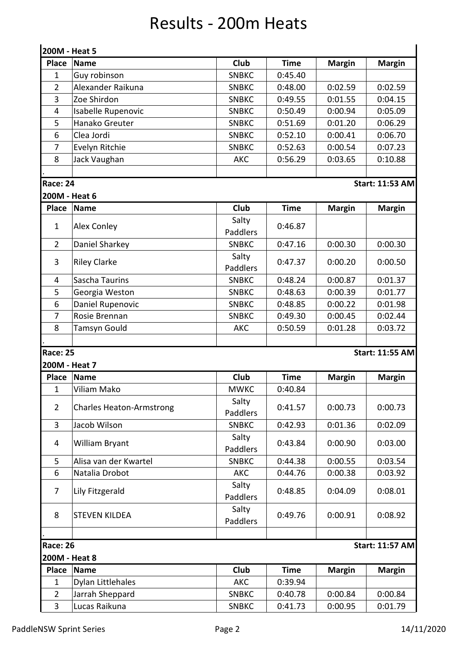## Results - 200m Heats

|                                           | 200M - Heat 5                   |                   |             |               |                        |  |  |  |
|-------------------------------------------|---------------------------------|-------------------|-------------|---------------|------------------------|--|--|--|
| <b>Place</b>                              | <b>Name</b>                     | Club              | <b>Time</b> | <b>Margin</b> | <b>Margin</b>          |  |  |  |
| $\mathbf{1}$                              | Guy robinson                    | <b>SNBKC</b>      | 0:45.40     |               |                        |  |  |  |
| $\overline{2}$                            | Alexander Raikuna               | <b>SNBKC</b>      | 0:48.00     | 0:02.59       | 0:02.59                |  |  |  |
| 3                                         | Zoe Shirdon                     | <b>SNBKC</b>      | 0:49.55     | 0:01.55       | 0:04.15                |  |  |  |
| 4                                         | Isabelle Rupenovic              | <b>SNBKC</b>      | 0:50.49     | 0:00.94       | 0:05.09                |  |  |  |
| 5                                         | Hanako Greuter                  | <b>SNBKC</b>      | 0:51.69     | 0:01.20       | 0:06.29                |  |  |  |
| 6                                         | Clea Jordi                      | <b>SNBKC</b>      | 0:52.10     | 0:00.41       | 0:06.70                |  |  |  |
| 7                                         | Evelyn Ritchie                  | <b>SNBKC</b>      | 0:52.63     | 0:00.54       | 0:07.23                |  |  |  |
| 8                                         | Jack Vaughan                    | AKC               | 0:56.29     | 0:03.65       | 0:10.88                |  |  |  |
| <b>Race: 24</b>                           |                                 |                   |             |               | <b>Start: 11:53 AM</b> |  |  |  |
| 200M - Heat 6                             |                                 |                   |             |               |                        |  |  |  |
| <b>Place</b>                              | <b>Name</b>                     | Club              | <b>Time</b> | <b>Margin</b> | <b>Margin</b>          |  |  |  |
| 1                                         | Alex Conley                     | Salty             | 0:46.87     |               |                        |  |  |  |
|                                           |                                 | Paddlers          |             |               |                        |  |  |  |
| $\overline{2}$                            | Daniel Sharkey                  | <b>SNBKC</b>      | 0:47.16     | 0:00.30       | 0:00.30                |  |  |  |
| 3                                         | <b>Riley Clarke</b>             | Salty<br>Paddlers | 0:47.37     | 0:00.20       | 0:00.50                |  |  |  |
| 4                                         | Sascha Taurins                  | <b>SNBKC</b>      | 0:48.24     | 0:00.87       | 0:01.37                |  |  |  |
| 5                                         | Georgia Weston                  | <b>SNBKC</b>      | 0:48.63     | 0:00.39       | 0:01.77                |  |  |  |
| 6                                         | Daniel Rupenovic                | <b>SNBKC</b>      | 0:48.85     | 0:00.22       | 0:01.98                |  |  |  |
| $\overline{7}$                            | Rosie Brennan                   | <b>SNBKC</b>      | 0:49.30     | 0:00.45       | 0:02.44                |  |  |  |
| 8                                         | Tamsyn Gould                    | AKC               | 0:50.59     | 0:01.28       | 0:03.72                |  |  |  |
|                                           |                                 |                   |             |               |                        |  |  |  |
| <b>Race: 25</b>                           |                                 |                   |             |               | <b>Start: 11:55 AM</b> |  |  |  |
| 200M - Heat 7                             |                                 |                   |             |               |                        |  |  |  |
| <b>Place</b>                              | <b>Name</b>                     | Club              | <b>Time</b> | <b>Margin</b> | <b>Margin</b>          |  |  |  |
| $\mathbf{1}$                              | Viliam Mako                     | <b>MWKC</b>       | 0:40.84     |               |                        |  |  |  |
| $\overline{2}$                            | <b>Charles Heaton-Armstrong</b> | Salty<br>Paddlers | 0:41.57     | 0:00.73       | 0:00.73                |  |  |  |
| 3                                         | Jacob Wilson                    | <b>SNBKC</b>      | 0:42.93     | 0:01.36       | 0:02.09                |  |  |  |
| 4                                         | William Bryant                  | Salty<br>Paddlers | 0:43.84     | 0:00.90       | 0:03.00                |  |  |  |
| 5                                         | Alisa van der Kwartel           | <b>SNBKC</b>      | 0:44.38     | 0:00.55       | 0:03.54                |  |  |  |
| 6                                         | Natalia Drobot                  | <b>AKC</b>        | 0:44.76     | 0:00.38       | 0:03.92                |  |  |  |
| $\overline{7}$                            | Lily Fitzgerald                 | Salty<br>Paddlers | 0:48.85     | 0:04.09       | 0:08.01                |  |  |  |
| 8                                         | <b>STEVEN KILDEA</b>            | Salty<br>Paddlers | 0:49.76     | 0:00.91       | 0:08.92                |  |  |  |
|                                           |                                 |                   |             |               |                        |  |  |  |
| <b>Race: 26</b><br><b>Start: 11:57 AM</b> |                                 |                   |             |               |                        |  |  |  |
| 200M - Heat 8                             |                                 |                   |             |               |                        |  |  |  |
| <b>Place</b>                              | <b>Name</b>                     | Club              | <b>Time</b> | <b>Margin</b> | <b>Margin</b>          |  |  |  |
| $\mathbf{1}$                              | Dylan Littlehales               | AKC               | 0:39.94     |               |                        |  |  |  |
| $\overline{2}$                            | Jarrah Sheppard                 | <b>SNBKC</b>      | 0:40.78     | 0:00.84       | 0:00.84                |  |  |  |
| $\overline{3}$                            | Lucas Raikuna                   | <b>SNBKC</b>      | 0:41.73     | 0:00.95       | 0:01.79                |  |  |  |